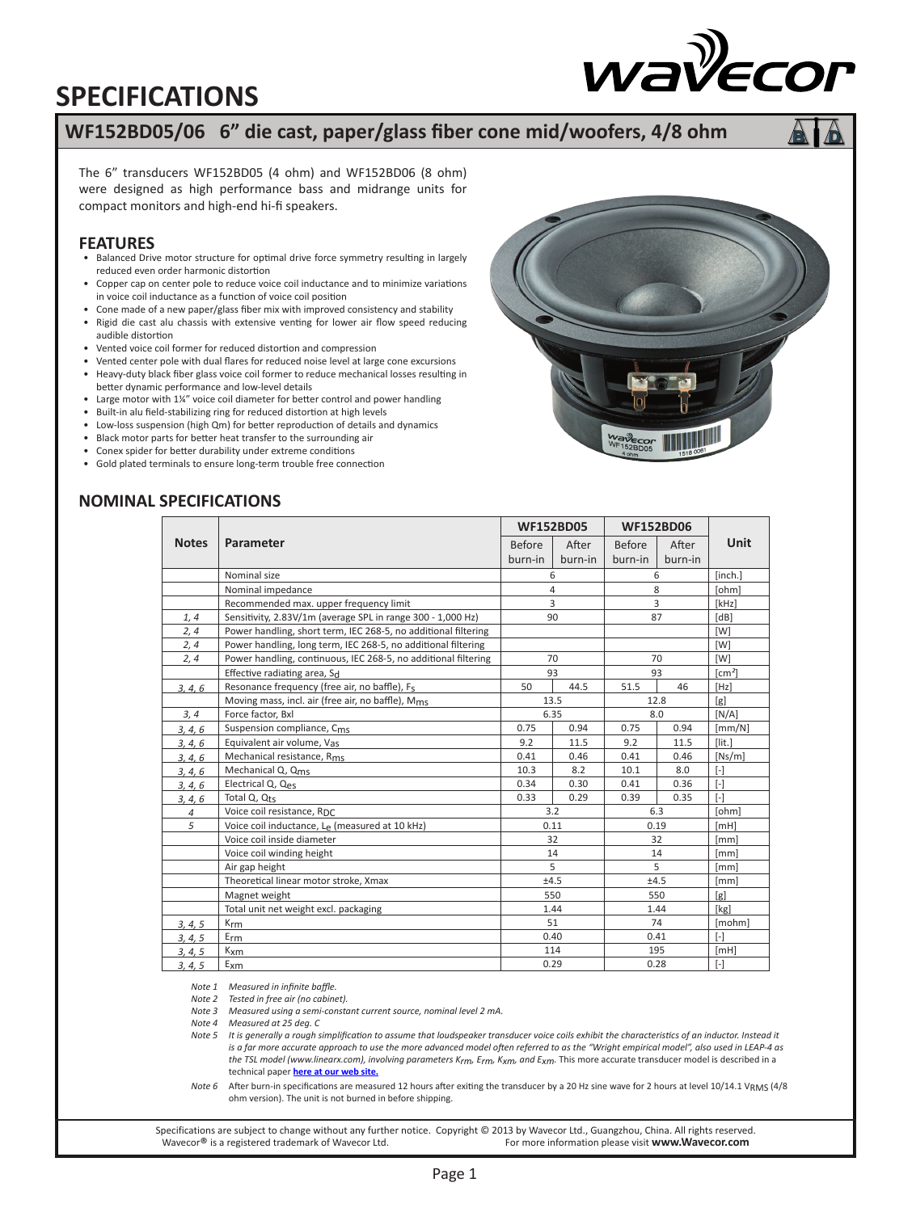## **SPECIFICATIONS**

### **WF152BD05/06 6" die cast, paper/glass fiber cone mid/woofers, 4/8 ohm**

The 6" transducers WF152BD05 (4 ohm) and WF152BD06 (8 ohm) were designed as high performance bass and midrange units for compact monitors and high-end hi-fi speakers.

#### **FEATURES**

- Balanced Drive motor structure for optimal drive force symmetry resulting in largely reduced even order harmonic distortion
- Copper cap on center pole to reduce voice coil inductance and to minimize variations in voice coil inductance as a function of voice coil position
- Cone made of a new paper/glass fiber mix with improved consistency and stability
- Rigid die cast alu chassis with extensive venting for lower air flow speed reducing audible distortion
- Vented voice coil former for reduced distortion and compression
- Vented center pole with dual flares for reduced noise level at large cone excursions
- Heavy-duty black fiber glass voice coil former to reduce mechanical losses resulting in better dynamic performance and low-level details
- Large motor with 1¼" voice coil diameter for better control and power handling
- Built-in alu field-stabilizing ring for reduced distortion at high levels
- Low-loss suspension (high Qm) for better reproduction of details and dynamics
- Black motor parts for better heat transfer to the surrounding air
- Conex spider for better durability under extreme conditions
- Gold plated terminals to ensure long-term trouble free connection

### **NOMINAL SPECIFICATIONS**

|                |                                                                | <b>WF152BD05</b> |            | <b>WF152BD06</b> |         |                   |
|----------------|----------------------------------------------------------------|------------------|------------|------------------|---------|-------------------|
| <b>Notes</b>   | Parameter                                                      | <b>Before</b>    | After      | <b>Before</b>    | After   | <b>Unit</b>       |
|                |                                                                | burn-in          | burn-in    | burn-in          | burn-in |                   |
|                | Nominal size                                                   | 6                |            | 6                |         | [inch.]           |
|                | Nominal impedance                                              | 4                |            | 8                |         | [ohm]             |
|                | Recommended max. upper frequency limit                         | 3<br>3           |            |                  | [kHz]   |                   |
| 1, 4           | Sensitivity, 2.83V/1m (average SPL in range 300 - 1,000 Hz)    | 90               |            | 87               | [dB]    |                   |
| 2, 4           | Power handling, short term, IEC 268-5, no additional filtering |                  |            |                  |         | [W]               |
| 2, 4           | Power handling, long term, IEC 268-5, no additional filtering  |                  |            |                  |         | [W]               |
| 2, 4           | Power handling, continuous, IEC 268-5, no additional filtering | 70               |            | 70               |         | [W]               |
|                | Effective radiating area, Sd                                   |                  | 93         |                  | 93      | $\text{[cm}^2$    |
| 3, 4, 6        | Resonance frequency (free air, no baffle), F <sub>S</sub>      | 50               | 44.5       | 51.5             | 46      | [Hz]              |
|                | Moving mass, incl. air (free air, no baffle), M <sub>ms</sub>  |                  | 13.5       |                  | 12.8    | [g]               |
| 3, 4           | Force factor, Bxl                                              | 6.35             |            | 8.0              |         | [N/A]             |
| 3, 4, 6        | Suspension compliance, C <sub>ms</sub>                         | 0.75             | 0.94       | 0.75             | 0.94    | [mm/N]            |
| 3, 4, 6        | Equivalent air volume, Vas                                     | 9.2              | 11.5       | 9.2              | 11.5    | $[$ lit. $]$      |
| 3, 4, 6        | Mechanical resistance, Rms                                     | 0.41             | 0.46       | 0.41             | 0.46    | [Ns/m]            |
| 3, 4, 6        | Mechanical Q, Qms                                              | 10.3             | 8.2        | 10.1             | 8.0     | $[\cdot]$         |
| 3.4.6          | Electrical Q, Qes                                              | 0.34             | 0.30       | 0.41             | 0.36    | $[ - ]$           |
| 3, 4, 6        | Total Q, Q <sub>ts</sub>                                       | 0.33             | 0.29       | 0.39             | 0.35    | $\lceil - \rceil$ |
| $\overline{4}$ | Voice coil resistance, RDC                                     |                  | 6.3<br>3.2 |                  | [ohm]   |                   |
| 5              | Voice coil inductance, Le (measured at 10 kHz)                 | 0.11             |            | 0.19             |         | [MH]              |
|                | Voice coil inside diameter                                     | 32               |            | 32               |         | [mm]              |
|                | Voice coil winding height                                      | 14               |            | 14               |         | [mm]              |
|                | Air gap height                                                 |                  | 5          |                  | 5       | [mm]              |
|                | Theoretical linear motor stroke, Xmax                          | ±4.5             |            | ±4.5             |         | [mm]              |
|                | Magnet weight                                                  |                  | 550        |                  | 550     | [g]               |
|                | Total unit net weight excl. packaging                          | 1.44             |            | 1.44             |         | [kg]              |
| 3, 4, 5        | K <sub>rm</sub>                                                | 51               |            | 74               |         | [mohm]            |
| 3, 4, 5        | $E_{rm}$                                                       | 0.40             |            | 0.41             |         | $\lceil - \rceil$ |
| 3, 4, 5        | $K_{\text{X}}$                                                 | 114              |            | 195              |         | [MH]              |
| 3, 4, 5        | Exm                                                            | 0.29             |            | 0.28             |         | $[\cdot]$         |

*Note 1 Measured in infinite baffle.*

*Note 2 Tested in free air (no cabinet).*

*Note 3 Measured using a semi-constant current source, nominal level 2 mA.*

*Note 4 Measured at 25 deg. C*

*Note 5 It is generally a rough simplification to assume that loudspeaker transducer voice coils exhibit the characteristics of an inductor. Instead it*  is a far more accurate approach to use the more advanced model often referred to as the "Wright empirical model", also used in LEAP-4 as *the TSL model (www.linearx.com), involving parameters Krm, Erm, Kxm, and Exm.* This more accurate transducer model is described in a technical paper **[here at our web site.](http://www.wavecor.com/Transducer_equivalent_circuit.pdf)**

*Note 6* After burn-in specifications are measured 12 hours after exiting the transducer by a 20 Hz sine wave for 2 hours at level 10/14.1 VRMS (4/8 ohm version). The unit is not burned in before shipping.

Specifications are subject to change without any further notice. Copyright © 2013 by Wavecor Ltd., Guangzhou, China. All rights reserved.<br>For more information please visit www.Wavecor.com For more information please visit www.Wavecor.com



wayecor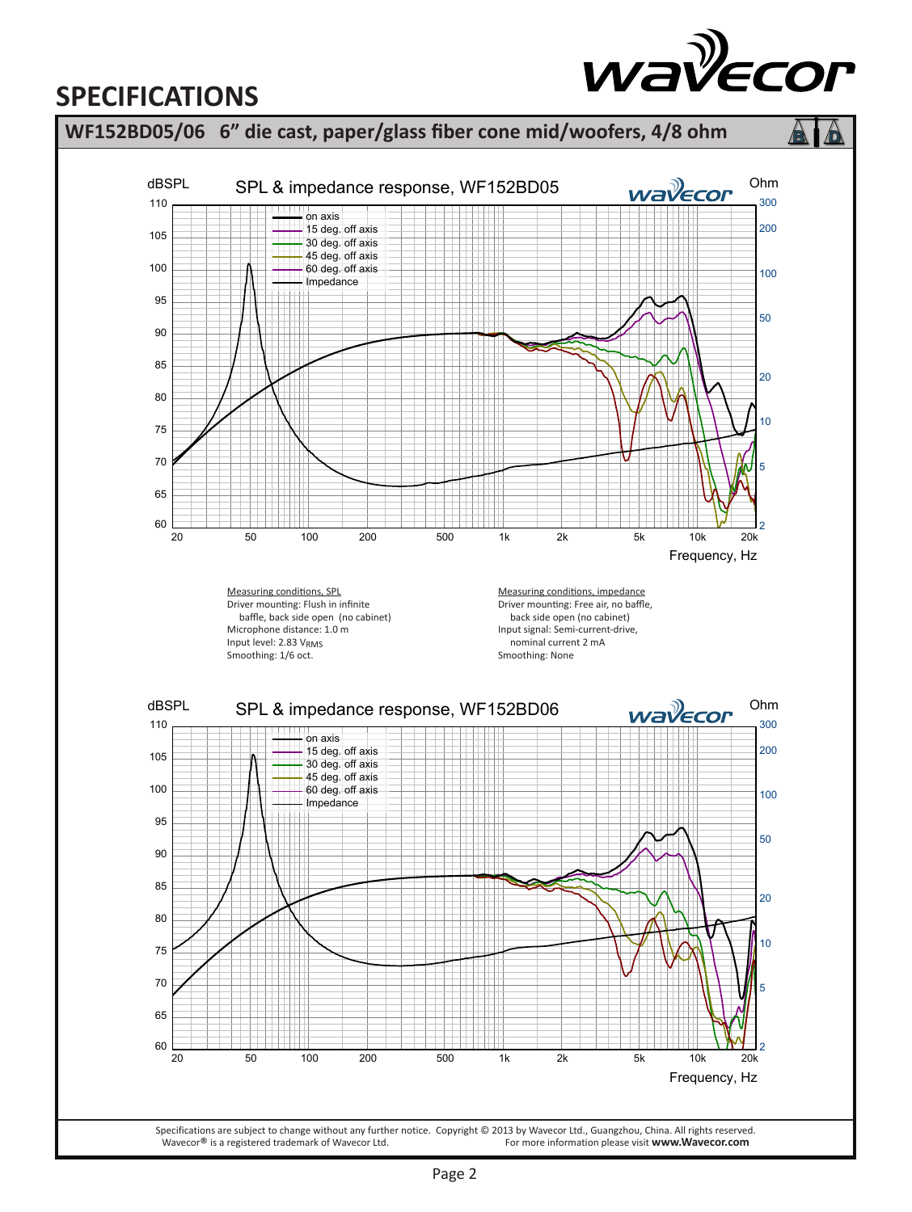# **SPECIFICATIONS**



wayecor